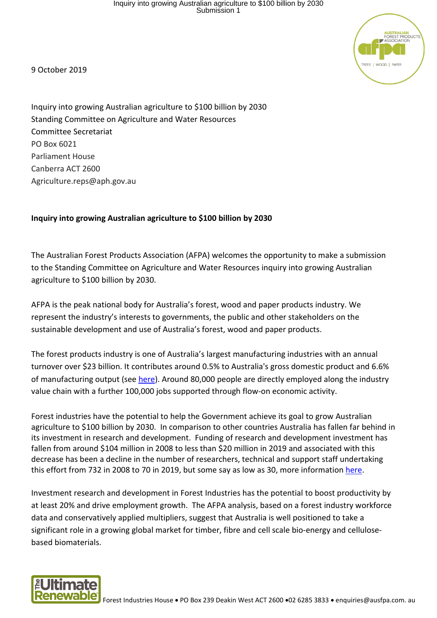

9 October 2019

Inquiry into growing Australian agriculture to \$100 billion by 2030 Standing Committee on Agriculture and Water Resources Committee Secretariat PO Box 6021 Parliament House Canberra ACT 2600 Agriculture.reps@aph.gov.au

## **Inquiry into growing Australian agriculture to \$100 billion by 2030**

The Australian Forest Products Association (AFPA) welcomes the opportunity to make a submission to the Standing Committee on Agriculture and Water Resources inquiry into growing Australian agriculture to \$100 billion by 2030.

AFPA is the peak national body for Australia's forest, wood and paper products industry. We represent the industry's interests to governments, the public and other stakeholders on the sustainable development and use of Australia's forest, wood and paper products.

The forest products industry is one of Australia's largest manufacturing industries with an annual turnover over \$23 billion. It contributes around 0.5% to Australia's gross domestic product and 6.6% of manufacturing output (see [here\)](http://www.agriculture.gov.au/abares/research-topics/forests/forest-economics/forest-wood-products-statistics). Around 80,000 people are directly employed along the industry value chain with a further 100,000 jobs supported through flow-on economic activity.

Forest industries have the potential to help the Government achieve its goal to grow Australian agriculture to \$100 billion by 2030. In comparison to other countries Australia has fallen far behind in its investment in research and development. Funding of research and development investment has fallen from around \$104 million in 2008 to less than \$20 million in 2019 and associated with this decrease has been a decline in the number of researchers, technical and support staff undertaking this effort from 732 in 2008 to 70 in 2019, but some say as low as 30, more information [here.](https://ausfpa.com.au/wp-content/uploads/2015/11/AFPA-RD-Policy-Proposal.pdf)

Investment research and development in Forest Industries has the potential to boost productivity by at least 20% and drive employment growth. The AFPA analysis, based on a forest industry workforce data and conservatively applied multipliers, suggest that Australia is well positioned to take a significant role in a growing global market for timber, fibre and cell scale bio-energy and cellulosebased biomaterials.

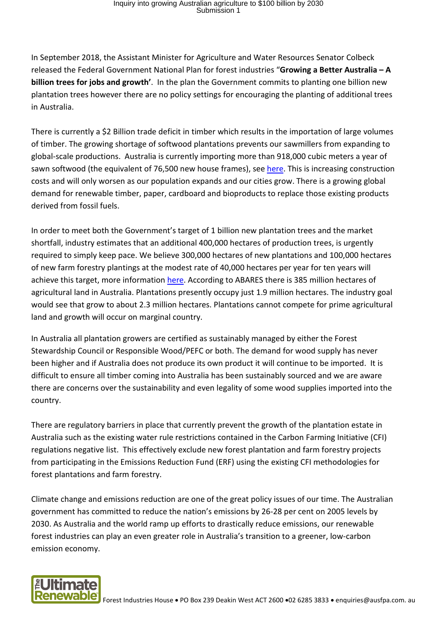## Inquiry into growing Australian agriculture to \$100 billion by 2030 Submission 1

In September 2018, the Assistant Minister for Agriculture and Water Resources Senator Colbeck released the Federal Government National Plan for forest industries "**Growing a Better Australia – A billion trees for jobs and growth'**. In the plan the Government commits to planting one billion new plantation trees however there are no policy settings for encouraging the planting of additional trees in Australia.

There is currently a \$2 Billion trade deficit in timber which results in the importation of large volumes of timber. The growing shortage of softwood plantations prevents our sawmillers from expanding to global-scale productions. Australia is currently importing more than 918,000 cubic meters a year of sawn softwood (the equivalent of 76,500 new house frames), se[e here.](http://www.agriculture.gov.au/abares/research-topics/forests/forest-economics/forest-wood-products-statistics) This is increasing construction costs and will only worsen as our population expands and our cities grow. There is a growing global demand for renewable timber, paper, cardboard and bioproducts to replace those existing products derived from fossil fuels.

In order to meet both the Government's target of 1 billion new plantation trees and the market shortfall, industry estimates that an additional 400,000 hectares of production trees, is urgently required to simply keep pace. We believe 300,000 hectares of new plantations and 100,000 hectares of new farm forestry plantings at the modest rate of 40,000 hectares per year for ten years will achieve this target, more information [here.](https://ausfpa.com.au/wp-content/uploads/2018/01/Towards-a-National-Forest-Industries-Plan-Key-Industry-Asks.pdf) According to ABARES there is 385 million hectares of agricultural land in Australia. Plantations presently occupy just 1.9 million hectares. The industry goal would see that grow to about 2.3 million hectares. Plantations cannot compete for prime agricultural land and growth will occur on marginal country.

In Australia all plantation growers are certified as sustainably managed by either the Forest Stewardship Council or Responsible Wood/PEFC or both. The demand for wood supply has never been higher and if Australia does not produce its own product it will continue to be imported. It is difficult to ensure all timber coming into Australia has been sustainably sourced and we are aware there are concerns over the sustainability and even legality of some wood supplies imported into the country.

There are regulatory barriers in place that currently prevent the growth of the plantation estate in Australia such as the existing water rule restrictions contained in the Carbon Farming Initiative (CFI) regulations negative list. This effectively exclude new forest plantation and farm forestry projects from participating in the Emissions Reduction Fund (ERF) using the existing CFI methodologies for forest plantations and farm forestry.

Climate change and emissions reduction are one of the great policy issues of our time. The Australian government has committed to reduce the nation's emissions by 26-28 per cent on 2005 levels by 2030. As Australia and the world ramp up efforts to drastically reduce emissions, our renewable forest industries can play an even greater role in Australia's transition to a greener, low-carbon emission economy.